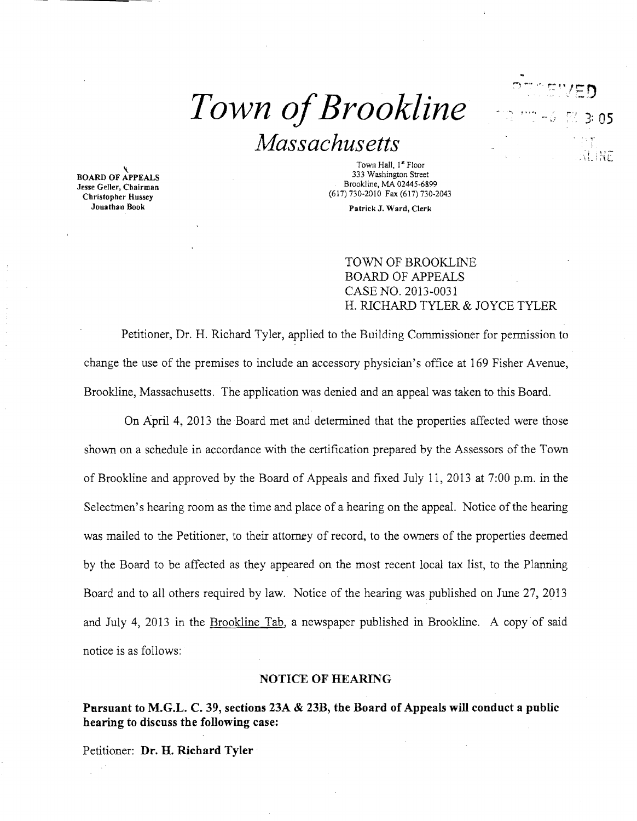# $Town$  of Brookline

# *Massachusetts*

 BOARD OF APPEALS Jesse Geller, Chairman



Town Hall, 1" Floor 333 Washington Street<br>Brookline, MA 02445-6899 Subset Christopher Hussey<br>
Christopher Hussey<br>
Jonathan Book<br>
Christopher Hussey<br>
Christopher Hussey<br>
Christopher Hussey<br>
Christopher Hussey<br>
Christopher Hussey<br>
Christopher Hussey<br>
Christopher Hussey<br>
Christopher Hussey<br>

Patrick J. Ward, Clerk

TOWN OF BROOKLINE BOARD OF APPEALS CASE NO. 2013-0031 H. RICHARD TYLER & JOYCE TYLER

Petitioner, Dr. H. Richard Tyler, applied to the Building Commissioner for permission to change the use of the premises to include an accessory physician's office at 169 Fisher Avenue, Brookline, Massachusetts. The application was denied and an appeal was taken to this Board.

On April 4, 2013 the Board met and detennined that the properties affected were those shown on a schedule in accordance with the certification prepared by the Assessors of the Town of Brookline and approved by the Board of Appeals and fixed July 11, 2013 at 7:00 p.m. in the Selectmen's hearing room as the time and place of a hearing on the appeal. Notice of the hearing was mailed to the Petitioner, to their attorney of record, to the owners of the properties deemed by the Board to be affected as they appeared on the most recent local tax list, to the Planning Board and to all others required by law. Notice of the hearing was published on June 27, 2013 and July 4, 2013 in the Brookline Tab, a newspaper published in Brookline. A copy of said notice is as follows:

### **NOTICE OF HEARING**

**Pursuant to M.G.L. C. 39, sections 23A & 23B, the Board of Appeals will conduct a public hearing to discuss the following case:** 

Petitioner: **Dr. H. Richard Tyler**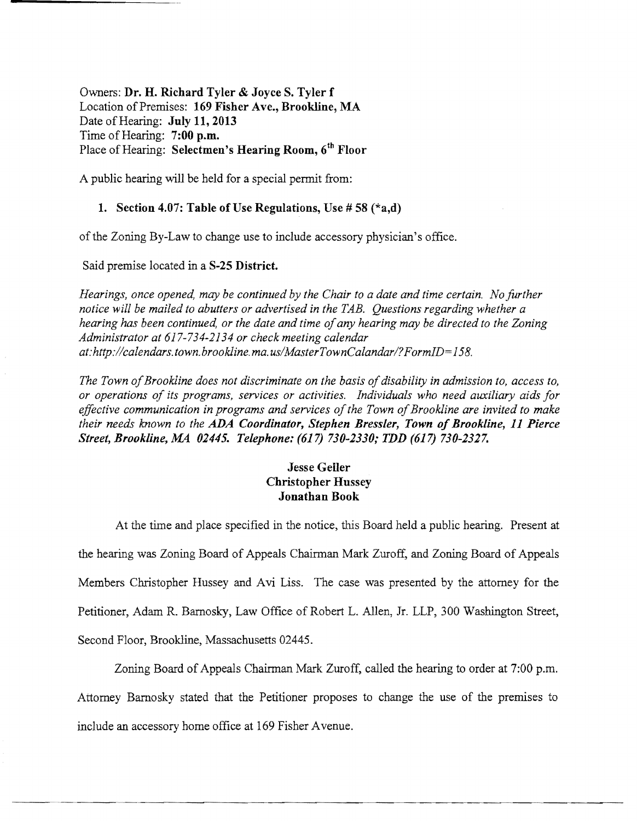Owners: Dr. H. Richard Tyler & Joyce S. Tyler f Location of Premises: 169 Fisher Ave., Brookline, MA Date of Hearing: July 11, 2013 Time of Hearing:  $7:00$  p.m. Place of Hearing: Selectmen's Hearing Room, 6<sup>th</sup> Floor

A public hearing will be held for a special permit from:

## 1. Section 4.07: Table of Use Regulations, Use  $\# 58$  ( $*$ a,d)

ofthe Zoning By-Law to change use to include accessory physician's office.

Said premise located in a S-25 District.

*Hearings, once opened, may be continued by the Chair to a date and time certain. No further notice will be mailed to abutters or advertised in the TAB. Questions regarding whether a hearing has been continued, or the date and time of any hearing may be directed to the Zoning Administrator at* 617-734-2134 *or check meeting calendar at:http://calendars.town.brookline.ma.usIMasterTownCalandarI?FormID=158.* 

*The Town of Brookline does not discriminate on the basis of disability in admission to, access to, or operations of its programs, services or activities. Individuals who need auxiliary aids for*  effective communication in programs and services of the Town of Brookline are invited to make *their needs known to the ADA Coordinator, Stephen Bressler, Town of Brookline, 11 Pierce Street, Brookline, MA 02445. Telephone:* (617) *730-2330; TDD* (617) *730-2327.* 

# Jesse Geiler Christopher Hussey Jonathan Book

At the time and place specified in the notice, this Board held a public hearing. Present at the hearing was Zoning Board of Appeals Chairman Mark Zuroff, and Zoning Board of Appeals Members Christopher Hussey and Avi Liss. The case was presented by the attorney for the Petitioner, Adam R. Barnosky, Law Office of Robert L. Allen, Jr. LLP, 300 Washington Street, Second Floor, Brookline, Massachusetts 02445.

Zoning Board of Appeals Chairman Mark Zuroff, called the hearing to order at 7:00 p.m. Attorney Bamosky stated that the Petitioner proposes to change the use of the premises to include an accessory home office at 169 Fisher A venue.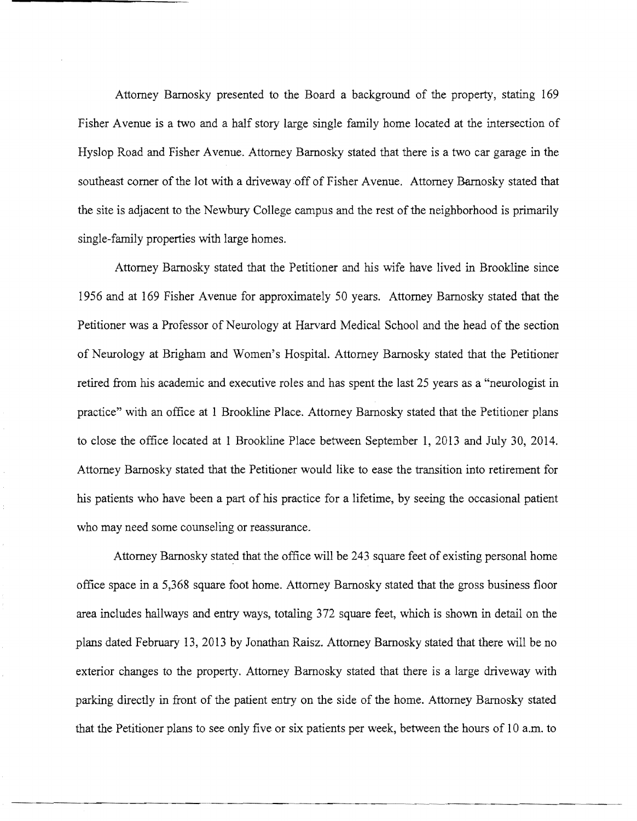Attorney Barnosky presented to the Board a background of the property, stating 169 Fisher A venue is a two and a half story large single family home located at the intersection of Hyslop Road and Fisher A venue. Attorney Barnosky stated that there is a two car garage in the southeast comer of the lot with a driveway off of Fisher Avenue. Attorney Bamosky stated that the site is adjacent to the Newbury College campus and the rest of the neighborhood is primarily single-family properties with large homes.

Attorney Barnosky stated that the Petitioner and his wife have lived in Brookline since 1956 and at 169 Fisher Avenue for approximately 50 years. Attorney Barnosky stated that the Petitioner was a Professor of Neurology at Harvard Medical School and the head of the section of Neurology at Brigham and Women's Hospital. Attorney Barnosky stated that the Petitioner retired from his academic and executive roles and has spent the last 25 years as a "neurologist in practice" with an office at 1 Brookline Place. Attorney Barnosky stated that the Petitioner plans to close the office located at 1 Brookline Place between September 1, 2013 and July 30, 2014. Attorney Barnosky stated that the Petitioner would like to ease the transition into retirement for his patients who have been a part of his practice for a lifetime, by seeing the occasional patient who may need some counseling or reassurance.

Attorney Barnosky stated that the office will be 243 square feet of existing personal home office space in a 5,368 square foot horne. Attorney Barnosky stated that the gross business floor area includes hallways and entry ways, totaling 372 square feet, which is shown in detail on the plans dated February 13,2013 by Jonathan Raisz. Attorney Barnosky stated that there will be no exterior changes to the property. Attorney Barnosky stated that there is a large driveway with parking directly in front of the patient entry on the side of the home. Attorney Barnosky stated that the Petitioner plans to see only five or six patients per week, between the hours of 10 a.m. to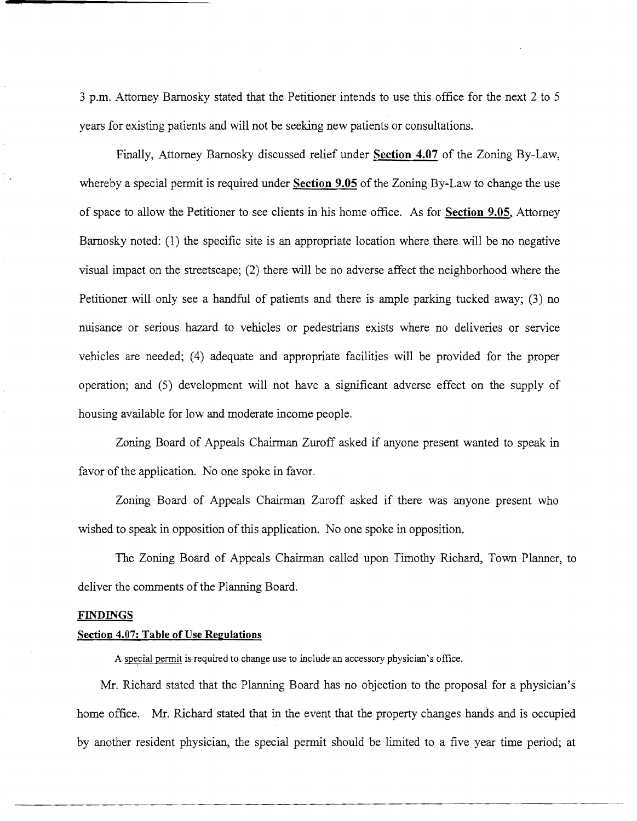3 p.m. Attorney Barnosky stated that the Petitioner intends to use this office for the next 2 to 5 years for existing patients and will not be seeking new patients or consultations.

Finally, Attorney Barnosky discussed relief under **Section 4.07** of the Zoning By-Law, whereby a special permit is required under **Section 9.05** of the Zoning By-Law to change the use of space to allow the Petitioner to see clients in his home office. As for **Section 9.05,** Attorney Barnosky noted: (l) the specific site is an appropriate location where there will be no negative visual impact on the streetscape; (2) there will be no adverse affect the neighborhood where the Petitioner will only see a handful of patients and there is ample parking tucked away; (3) no nuisance or serious hazard to vehicles or pedestrians exists where no deliveries or service vehicles are needed; (4) adequate and appropriate facilities will be provided for the proper operation; and (5) development will not have a significant adverse effect on the supply of housing available for low and moderate income people.

Zoning Board of Appeals Chairman Zuroff asked if anyone present wanted to speak in favor of the application. No one spoke in favor.

Zoning Board of Appeals Chairman Zuroff asked if there was anyone present who wished to speak in opposition of this application. No one spoke in opposition.

The Zoning Board of Appeals Chairman called upon Timothy Richard, Town Planner, to deliver the comments of the Planning Board.

#### **FTh'DINGS**

#### **Section 4.07: Table** of Use **Regulations**

A special permit is required to change use to include an accessory physician's office.

Mr. Richard stated that the Planning Board has no objection to the proposal for a physician's home office. Mr. Richard stated that in the event that the property changes hands and is occupied by another resident physician, the special permit should be limited to a five year time period; at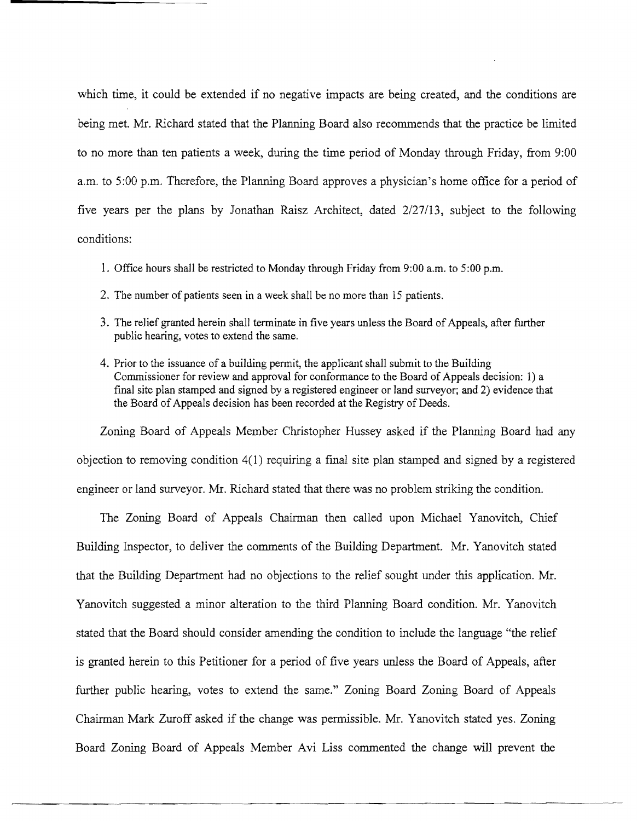which time, it could be extended if no negative impacts are being created, and the conditions are being met. Mr. Richard stated that the Planning Board also recommends that the practice be limited to no more than ten patients a week, during the time period of Monday through Friday, from 9:00 a.m. to 5:00 p.m. Therefore, the Planning Board approves a physician's home office for a period of five years per the plans by Jonathan Raisz Architect, dated 2/27/13, subject to the following conditions:

- 1. Office hours shall be restricted to Monday through Friday from 9:00 a.m. to 5:00 p.m.
- 2. The number of patients seen in a week shall be no more than 15 patients.
- 3. The relief granted herein shall terminate in five years unless the Board of Appeals, after further public hearing, votes to extend the same.
- 4. Prior to the issuance of a building permit, the applicant shall submit to the Building Commissioner for review and approval for conformance to the Board of Appeals decision: 1) a final site plan stamped and signed by a registered engineer or land surveyor; and 2) evidence that the Board of Appeals decision has been recorded at the Registry of Deeds.

Zoning Board of Appeals Member Christopher Hussey asked if the Planning Board had any objection to removing condition 4(1) requiring a fmal site plan stamped and signed by a registered engineer or land surveyor. Mr. Richard stated that there was no problem striking the condition.

The Zoning Board of Appeals Chairman then called upon Michael Yanovitch, Chief Building Inspector, to deliver the comments of the Building Department. Mr. Yanovitch stated that the Building Department had no objections to the relief sought under this application. Mr. Yanovitch suggested a minor alteration to the third Planning Board condition. Mr. Yanovitch stated that the Board should consider amending the condition to include the language "the relief is granted herein to this Petitioner for a period of five years unless the Board of Appeals, after further public hearing, votes to extend the same." Zoning Board Zoning Board of Appeals Chairman Mark Zuroff asked if the change was permissible. Mr. Yanovitch stated yes. Zoning Board Zoning Board of Appeals Member Avi Liss commented the change will prevent the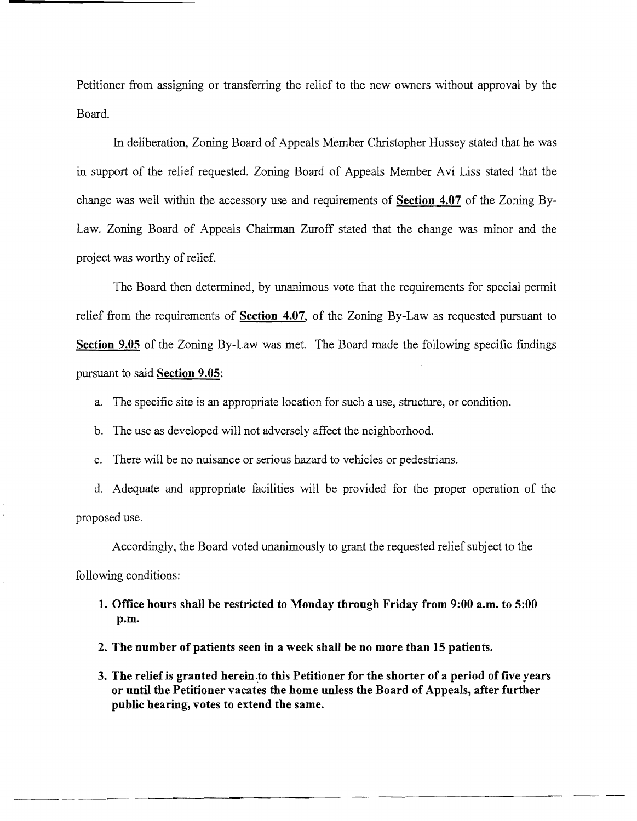Petitioner from assigning or transferring the relief to the new owners without approval by the Board.

**In** deliberation, Zoning Board of Appeals Member Christopher Hussey stated that he was in support of the relief requested. Zoning Board of Appeals Member Avi Liss stated that the change was well within the accessory use and requirements of **Section 4.07** of the Zoning By-Law. Zoning Board of Appeals Chairman Zuroff stated that the change was minor and the project was worthy of relief.

The Board then determined, by unanimous vote that the requirements for special permit relief from the requirements of **Section 4.07,** of the Zoning By-Law as requested pursuant to **Section 9.05** of the Zoning By-Law was met. The Board made the following specific fmdings pursuant to said **Section 9.05:** 

a. The specific site is an appropriate location for such a use, structure, or condition.

b. The use as developed will not adversely affect the neighborhood.

c. There will be no nuisance or serious hazard to vehicles or pedestrians.

d. Adequate and appropriate facilities will be provided for the proper operation of the proposed use.

Accordingly, the Board voted unanimously to grant the requested relief subject to the

following conditions:

**1. Office hours shall be restricted to Monday through Friday from 9:00 a.m. to 5:00 p.m.** 

**2. The number of patients seen in a week shall be no more than 15 patients.** 

----------------~--~--..-~---~.--------

**3. The relief is granted** hereinto **this Petitioner for the shorter of a period of five years or until the Petitioner vacates the home unless the Board of Appeals, after further public hearing, votes to extend the same.**